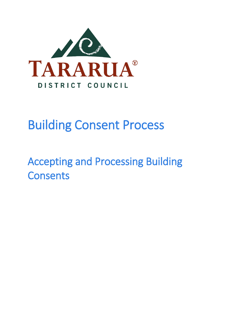

# Building Consent Process

Accepting and Processing Building **Consents**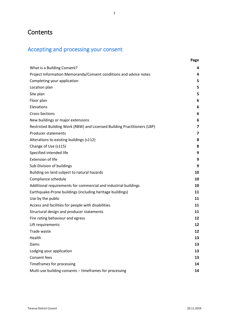# **Contents**

# Accepting and processing your consent

|                                                                          | Page |
|--------------------------------------------------------------------------|------|
| What is a Building Consent?                                              | 4    |
| Project Information Memoranda/Consent conditions and advice notes        | 4    |
| Completing your application                                              | 5    |
| Location plan                                                            | 5    |
| Site plan                                                                | 5    |
| Floor plan                                                               | 6    |
| Elevations                                                               | 6    |
| <b>Cross-Sections</b>                                                    | 6    |
| New buildings or major extensions                                        | 6    |
| Restricted Building Work (RBW) and Licensed Building Practitioners (LBP) | 7    |
| <b>Producer statements</b>                                               | 7    |
| Alterations to existing buildings (s112)                                 | 8    |
| Change of Use (s115)                                                     | 8    |
| Specified intended life                                                  | 9    |
| <b>Extension of life</b>                                                 | 9    |
| Sub-Division of buildings                                                | 9    |
| Building on land subject to natural hazards                              | 10   |
| Compliance schedule                                                      | 10   |
| Additional requirements for commercial and industrial buildings          | 10   |
| Earthquake-Prone buildings (including heritage buildings)                | 11   |
| Use by the public                                                        | 11   |
| Access and facilities for people with disabilities                       | 11   |
| Structural design and producer statements                                | 11   |
| Fire rating behaviour and egress                                         | 12   |
| Lift requirements                                                        | 12   |
| Trade waste                                                              | 12   |
| Health                                                                   | 13   |
| Dams                                                                     | 13   |
| Lodging your application                                                 | 13   |
| Consent fees                                                             | 13   |
| Timeframes for processing                                                | 14   |
| Multi-use building consents - timeframes for processing                  | 14   |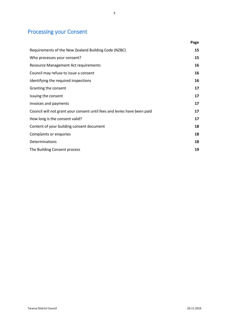# Processing your Consent

|                                                                          | Page |
|--------------------------------------------------------------------------|------|
| Requirements of the New Zealand Building Code (NZBC)                     | 15   |
| Who processes your consent?                                              | 15   |
| <b>Resource Management Act requirements</b>                              | 16   |
| Council may refuse to issue a consent                                    | 16   |
| Identifying the required inspections                                     | 16   |
| Granting the consent                                                     | 17   |
| Issuing the consent                                                      | 17   |
| Invoices and payments                                                    | 17   |
| Council will not grant your consent until fees and levies have been paid | 17   |
| How long is the consent valid?                                           | 17   |
| Content of your building consent document                                | 18   |
| Complaints or enquiries                                                  | 18   |
| Determinations                                                           | 18   |
| The Building Consent process                                             | 19   |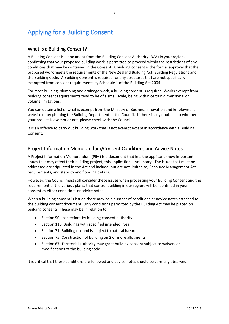# Applying for a Building Consent

#### What is a Building Consent?

A Building Consent is a document from the Building Consent Authority (BCA) in your region, confirming that your proposed building work is permitted to proceed within the restrictions of any conditions that may be contained in the Consent. A building consent is the formal approval that the proposed work meets the requirements of the New Zealand Building Act, Building Regulations and the Building Code. A Building Consent is required for any structures that are not specifically exempted from consent requirements by Schedule 1 of the Building Act 2004.

For most building, plumbing and drainage work, a building consent is required. Works exempt from building consent requirements tend to be of a small scale, being within certain dimensional or volume limitations.

You can obtain a list of what is exempt from the Ministry of Business Innovation and Employment website or by phoning the Building Department at the Council. If there is any doubt as to whether your project is exempt or not, please check with the Council.

It is an offence to carry out building work that is not exempt except in accordance with a Building Consent.

#### Project Information Memorandum/Consent Conditions and Advice Notes

A Project Information Memorandum (PIM) is a document that lets the applicant know important issues that may affect their building project; this application is voluntary. The issues that must be addressed are stipulated in the Act and include, but are not limited to, Resource Management Act requirements, and stability and flooding details.

However, the Council must still consider these issues when processing your Building Consent and the requirement of the various plans, that control building in our region, will be identified in your consent as either conditions or advice notes.

When a building consent is issued there may be a number of conditions or advice notes attached to the building consent document. Only conditions permitted by the Building Act may be placed on building consents. These may be in relation to;

- Section 90, Inspections by building consent authority
- Section 113, Buildings with specified intended lives
- Section 71, Building on land is subject to natural hazards
- Section 75, Construction of building on 2 or more allotments
- Section 67, Territorial authority may grant building consent subject to waivers or modifications of the building code

It is critical that these conditions are followed and advice notes should be carefully observed.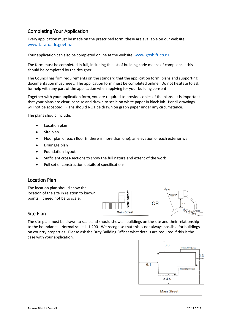#### Completing Your Application

Every application must be made on the prescribed form; these are available on our website: [www.tararuadc.govt.nz](http://www.tararuadc.govt.nz/)

Your application can also be completed online at the website: [www.goshift.co.nz](http://www.goshift.co.nz/)

The form must be completed in full, including the list of building code means of compliance; this should be completed by the designer.

The Council has firm requirements on the standard that the application form, plans and supporting documentation must meet. The application form must be completed online. Do not hesitate to ask for help with any part of the application when applying for your building consent.

Together with your application form, you are required to provide copies of the plans. It is important that your plans are clear, concise and drawn to scale on white paper in black ink. Pencil drawings will not be accepted. Plans should NOT be drawn on graph paper under any circumstance.

The plans should include:

- Location plan
- Site plan
- Floor plan of each floor (if there is more than one), an elevation of each exterior wall
- Drainage plan
- Foundation layout
- Sufficient cross-sections to show the full nature and extent of the work
- Full set of construction details of specifications

#### Location Plan



#### Site Plan

The site plan must be drawn to scale and should show all buildings on the site and their relationship to the boundaries. Normal scale is 1:200. We recognise that this is not always possible for buildings on country properties. Please ask the Duty Building Officer what details are required if this is the case with your application.

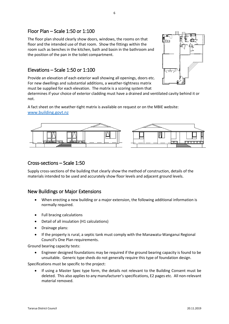#### Floor Plan – Scale 1:50 or 1:100

The floor plan should clearly show doors, windows, the rooms on that floor and the intended use of that room. Show the fittings within the room such as benches in the kitchen, bath and basin in the bathroom and the position of the pan in the toilet compartment.

#### Elevations – Scale 1:50 or 1:100

Provide an elevation of each exterior wall showing all openings, doors etc. For new dwellings and substantial additions, a weather-tightness matrix must be supplied for each elevation. The matrix is a scoring system that



determines if your choice of exterior cladding must have a drained and ventilated cavity behind it or not.

A fact sheet on the weather-tight matrix is available on request or on the MBIE website: [www.building.govt.nz](http://www.building.govt.nz/)



#### Cross-sections – Scale 1:50

Supply cross-sections of the building that clearly show the method of construction, details of the materials intended to be used and accurately show floor levels and adjacent ground levels.

#### New Buildings or Major Extensions

- When erecting a new building or a major extension, the following additional information is normally required.
- Full bracing calculations
- Detail of all insulation (H1 calculations)
- Drainage plans:
- If the property is rural, a septic tank must comply with the Manawatu-Wanganui Regional Council's One Plan requirements.

Ground bearing capacity tests:

• Engineer designed foundations may be required if the ground bearing capacity is found to be unsuitable. Generic type sheds do not generally require this type of foundation design.

Specifications must be specific to the project:

• If using a Master Spec type form, the details not relevant to the Building Consent must be deleted. This also applies to any manufacturer's specifications, E2 pages etc. All non-relevant material removed.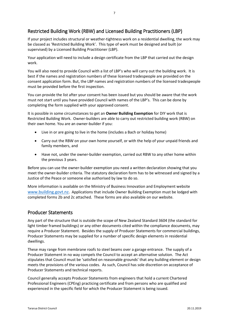#### Restricted Building Work (RBW) and Licensed Building Practitioners (LBP)

If your project includes structural or weather-tightness work on a residential dwelling, the work may be classed as 'Restricted Building Work'. This type of work must be designed and built (or supervised) by a Licensed Building Practitioner (LBP).

Your application will need to include a design certificate from the LBP that carried out the design work.

You will also need to provide Council with a list of LBP's who will carry out the building work. It is best if the names and registration numbers of these licensed tradespeople are provided on the consent application form. But, the LBP names and registration numbers of the licensed tradespeople must be provided before the first inspection.

You can provide the list after your consent has been issued but you should be aware that the work must not start until you have provided Council with names of the LBP's. This can be done by completing the form supplied with your approved consent.

It is possible in some circumstances to get an **Owner Building Exemption** for DIY work that is Restricted Building Work. Owner-builders are able to carry out restricted building work (RBW) on their own home. You are an owner-builder if you:

- Live in or are going to live in the home (includes a Bach or holiday home)
- Carry out the RBW on your own home yourself, or with the help of your unpaid friends and family members, and
- Have not, under the owner-builder exemption, carried out RBW to any other home within the previous 3 years.

Before you can use the owner-builder exemption you need a written declaration showing that you meet the owner-builder criteria. The statutory declaration form has to be witnessed and signed by a Justice of the Peace or someone else authorised by law to do so.

More information is available on the Ministry of Business Innovation and Employment website [www.building.govt.nz.](http://www.building.govt.nz/) Applications that include Owner Building Exemption must be lodged with completed forms 2b and 2c attached. These forms are also available on our website.

#### Producer Statements

Any part of the structure that is outside the scope of New Zealand Standard 3604 (the standard for light timber framed buildings) or any other documents cited within the compliance documents, may require a Producer Statement. Besides the supply of Producer Statements for commercial buildings, Producer Statements may be supplied for a number of specific design elements in residential dwellings.

These may range from membrane roofs to steel beams over a garage entrance. The supply of a Producer Statement in no way compels the Council to accept an alternative solution. The Act stipulates that Council must be 'satisfied on reasonable grounds' that any building element or design meets the provisions of the various codes. As such, Council has sole discretion on acceptance of Producer Statements and technical reports.

Council generally accepts Producer Statements from engineers that hold a current Chartered Professional Engineers (CPEng) practicing certificate and from persons who are qualified and experienced in the specific field for which the Producer Statement is being issued.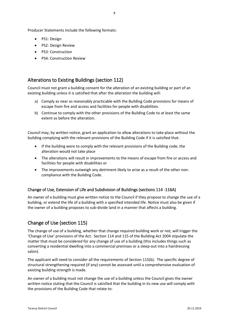- PS1: Design
- PS2: Design Review
- PS3: Construction
- PS4: Construction Review

#### Alterations to Existing Buildings (section 112)

Council must not grant a building consent for the alteration of an existing building or part of an existing building unless it is satisfied that after the alteration the building will:

- a) Comply as near as reasonably practicable with the Building Code provisions for means of escape from fire and access and facilities for people with disabilities.
- b) Continue to comply with the other provisions of the Building Code to at least the same extent as before the alteration.

Council may, by written notice, grant an application to allow alterations to take place without the building complying with the relevant provisions of the Building Code if it is satisfied that:

- If the building were to comply with the relevant provisions of the Building code, the alteration would not take place
- The alterations will result in improvements to the means of escape from fire or access and facilities for people with disabilities or
- The improvements outweigh any detriment likely to arise as a result of the other noncompliance with the Building Code.

#### Change of Use, Extension of Life and Subdivision of Buildings (sections 114 -116A)

An owner of a building must give written notice to the Council if they propose to change the use of a building, or extend the life of a building with a specified intended life. Notice must also be given if the owner of a building proposes to sub-divide land in a manner that affects a building.

#### Change of Use (section 115)

The change of use of a building, whether that change required building work or not, will trigger the 'Change of Use' provisions of the Act. Section 114 and 115 of the Building Act 2004 stipulate the matter that must be considered for any change of use of a building (this includes things such as converting a residential dwelling into a commercial premises or a sleep-out into a hairdressing salon).

The applicant will need to consider all the requirements of Section 115(b). The specific degree of structural strengthening required (if any) cannot be assessed until a comprehensive evaluation of existing building strength is made.

An owner of a building must not change the use of a building unless the Council gives the owner written notice stating that the Council is satisfied that the building in its new use will comply with the provisions of the Building Code that relate to: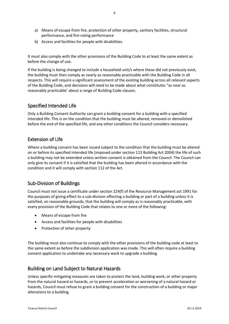- a) Means of escape from fire, protection of other property, sanitary facilities, structural performance, and fire-rating performance
- b) Access and facilities for people with disabilities.

It must also comply with the other provisions of the Building Code to at least the same extent as before the change of use.

If the building is being changed to include a household unit/s where these did not previously exist, the building must then comply as nearly as reasonably practicable with the Building Code in all respects. This will require a significant assessment of the existing building across all relevant aspects of the Building Code, and decisions will need to be made about what constitutes "as near as reasonably practicable' about a range of Building Code clauses.

#### Specified Intended Life

Only a Building Consent Authority can grant a building consent for a building with a specified intended life. This is on the condition that the building must be altered, removed or demolished before the end of the specified life, and any other conditions the Council considers necessary.

#### Extension of Life

Where a building consent has been issued subject to the condition that the building must be altered on or before its specified intended life (imposed under section 113 Building Act 2004) the life of such a building may not be extended unless written consent is obtained from the Council. The Council can only give its consent if it is satisfied that the building has been altered in accordance with the condition and it will comply with section 112 of the Act.

#### Sub-Division of Buildings

Council must not issue a certificate under section 224(f) of the Resource Management act 1991 for the purposes of giving effect to a sub-division affecting a building or part of a building unless it is satisfied, on reasonable grounds, that the building will comply as is reasonably practicable, with every provision of the Building Code that relates to one or more of the following:

- Means of escape from fire
- Access and facilities for people with disabilities
- Protection of other property

The building must also continue to comply with the other provisions of the building code at least to the same extent as before the subdivision application was made. This will often require a building consent application to undertake any necessary work to upgrade a building.

#### Building on Land Subject to Natural Hazards

Unless specific mitigating measures are taken to protect the land, building work, or other property from the natural hazard or hazards, or to prevent acceleration or worsening of a natural hazard or hazards, Council must refuse to grant a building consent for the construction of a building or major alterations to a building.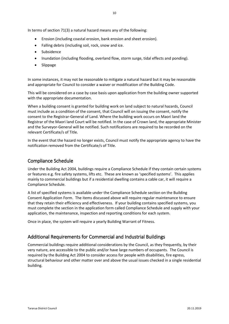In terms of section 71(3) a natural hazard means any of the following:

- Erosion (including coastal erosion, bank erosion and sheet erosion).
- Falling debris (including soil, rock, snow and ice.
- Subsidence
- Inundation (including flooding, overland flow, storm surge, tidal effects and ponding).
- Slippage

In some instances, it may not be reasonable to mitigate a natural hazard but it may be reasonable and appropriate for Council to consider a waiver or modification of the Building Code.

This will be considered on a case by case basis upon application from the building owner supported with the appropriate documentation.

When a building consent is granted for building work on land subject to natural hazards, Council must include as a condition of the consent, that Council will on issuing the consent, notify the consent to the Registrar-General of Land. Where the building work occurs on Maori land the Registrar of the Maori land Court will be notified. In the case of Crown land, the appropriate Minister and the Surveyor-General will be notified. Such notifications are required to be recorded on the relevant Certificate/s of Title.

In the event that the hazard no longer exists, Council must notify the appropriate agency to have the notification removed from the Certificate/s of Title.

#### Compliance Schedule

Under the Building Act 2004, buildings require a Compliance Schedule if they contain certain systems or features e.g. fire safety systems, lifts etc. These are known as 'specified systems'. This applies mainly to commercial buildings but if a residential dwelling contains a cable car, it will require a Compliance Schedule.

A list of specified systems is available under the Compliance Schedule section on the Building Consent Application Form. The items discussed above will require regular maintenance to ensure that they retain their efficiency and effectiveness. If your building contains specified systems, you must complete the section in the application form called Compliance Schedule and supply with your application, the maintenance, inspection and reporting conditions for each system.

Once in place, the system will require a yearly Building Warrant of Fitness.

#### Additional Requirements for Commercial and Industrial Buildings

Commercial buildings require additional considerations by the Council, as they frequently, by their very nature, are accessible to the public and/or have large numbers of occupants. The Council is required by the Building Act 2004 to consider access for people with disabilities, fire egress, structural behaviour and other matter over and above the usual issues checked in a single residential building.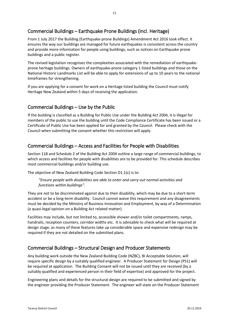#### Commercial Buildings – Earthquake Prone Buildings (incl. Heritage)

From 1 July 2017 the Building (Earthquake-prone Buildings) Amendment Act 2016 took effect. It ensures the way our buildings are managed for future earthquakes is consistent across the country and provide more information for people using buildings, such as notices on Earthquake prone buildings and a public register.

The revised legislation recognises the complexities associated with the remediation of earthquakeprone heritage buildings. Owners of earthquake-prone category 1 listed buildings and those on the National Historic Landmarks List will be able to apply for extensions of up to 10 years to the national timeframes for strengthening.

If you are applying for a consent for work on a Heritage listed building the Council must notify Heritage New Zealand within 5 days of receiving the application.

#### Commercial Buildings – Use by the Public

If the building is classified as a Building for Public Use under the Building Act 2004, it is illegal for members of the public to use the building until the Code Compliance Certificate has been issued or a Certificate of Public Use has been applied for and granted by the Council. Please check with the Council when submitting the consent whether this restriction will apply.

#### Commercial Buildings – Access and Facilities for People with Disabilities

Section 118 and Schedule 2 of the Building Act 2004 outline a large range of commercial buildings, to which access and facilities for people with disabilities are to be provided for. This schedule describes most commercial buildings and/or building use.

The objective of New Zealand Building Code Section D1.1(c) is to:

#### *"Ensure people with disabilities are able to enter and carry out normal activities and functions within buildings".*

They are not to be discriminated against due to their disability, which may be due to a short-term accident or be a long-term disability. Council cannot waive this requirement and any disagreements must be decided by the Ministry of Business Innovation and Employment, by way of a Determination (a quasi-legal opinion on a Building Act related matter).

Facilities may include, but not limited to, accessible shower and/or toilet compartments, ramps, handrails, reception counters, corridor widths etc. It is advisable to check what will be required at design stage, as many of these features take up considerable space and expensive redesign may be required if they are not detailed on the submitted plans.

#### Commercial Buildings – Structural Design and Producer Statements

Any building work outside the New Zealand Building Code (NZBC), BI Acceptable Solution, will require specific design by a suitably qualified engineer. A Producer Statement for Design (PS1) will be required at application. The Building Consent will not be issued until they are received (by a suitably qualified and experienced person in their field of expertise) and approved for the project.

Engineering plans and details for the structural design are required to be submitted and signed by the engineer providing the Producer Statement. The engineer will state on the Producer Statement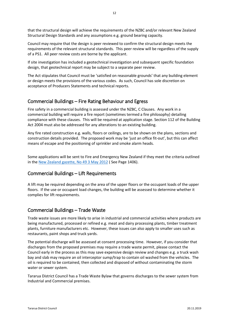that the structural design will achieve the requirements of the NZBC and/or relevant New Zealand Structural Design Standards and any assumptions e.g. ground bearing capacity.

Council may require that the design is peer reviewed to confirm the structural design meets the requirements of the relevant structural standards. This peer review will be regardless of the supply of a PS1. All peer review costs are borne by the applicant.

If site investigation has included a geotechnical investigation and subsequent specific foundation design, that geotechnical report may be subject to a separate peer review.

The Act stipulates that Council must be 'satisfied on reasonable grounds' that any building element or design meets the provisions of the various codes. As such, Council has sole discretion on acceptance of Producers Statements and technical reports.

#### Commercial Buildings – Fire Rating Behaviour and Egress

Fire safety in a commercial building is assessed under the NZBC, C Clauses. Any work in a commercial building will require a fire report (sometimes termed a fire philosophy) detailing compliance with these clauses. This will be required at application stage. Section 112 of the Building Act 2004 must also be addressed for any alterations to an existing building.

Any fire rated construction e.g. walls, floors or ceilings, are to be shown on the plans, sections and construction details provided. The proposed work may be 'just an office fit-out', but this can affect means of escape and the positioning of sprinkler and smoke alarm heads.

Some applications will be sent to Fire and Emergency New Zealand if they meet the criteria outlined in the [New Zealand gazette, No 49 3 May 2012](https://gazette.govt.nz/notice/id/2012-go2694) ( See Page 1406).

#### Commercial Buildings – Lift Requirements

A lift may be required depending on the area of the upper floors or the occupant loads of the upper floors. If the use or occupant load changes, the building will be assessed to determine whether it complies for lift requirements.

#### Commercial Buildings – Trade Waste

Trade waste issues are more likely to arise in industrial and commercial activities where products are being manufactured, processed or refined e.g. meat and dairy processing plants, timber treatment plants, furniture manufacturers etc. However, these issues can also apply to smaller uses such as restaurants, paint shops and truck yards.

The potential discharge will be assessed at consent processing time. However, if you consider that discharges from the proposed premises may require a trade waste permit, please contact the Council early in the process as this may save expensive design review and changes e.g. a truck wash bay and slab may require an oil interceptor sump/trap to contain oil washed from the vehicles. The oil is required to be contained, then collected and disposed of without contaminating the storm water or sewer system.

Tararua District Council has a Trade Waste Bylaw that governs discharges to the sewer system from Industrial and Commercial premises.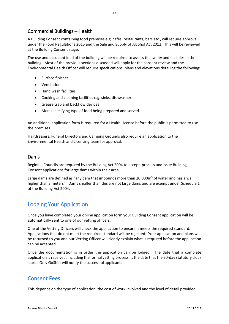#### Commercial Buildings – Health

A Building Consent containing food premises e.g. cafés, restaurants, bars etc., will require approval under the Food Regulations 2015 and the Sale and Supply of Alcohol Act 2012. This will be reviewed at the Building Consent stage.

The use and occupant load of the building will be required to assess the safety and facilities in the building. Most of the previous sections discussed will apply for the consent review and the Environmental Health Officer will require specifications, plans and elevations detailing the following:

- Surface finishes
- Ventilation
- Hand wash facilities
- Cooking and cleaning facilities e.g. sinks, dishwasher
- Grease trap and backflow devices
- Menu specifying type of food being prepared and served

An additional application form is required for a Health Licence before the public is permitted to use the premises.

Hairdressers, Funeral Directors and Camping Grounds also require an application to the Environmental Health and Licensing team for approval.

#### Dams

Regional Councils are required by the Building Act 2004 to accept, process and issue Building Consent applications for large dams within their area.

Large dams are defined as "any dam that impounds more than  $20.000<sup>2</sup>$  of water and has a wall higher than 3 meters". Dams smaller than this are not large dams and are exempt under Schedule 1 of the Building Act 2004.

# Lodging Your Application

Once you have completed your online application form your Building Consent application will be automatically sent to one of our vetting officers.

One of the Vetting Officers will check the application to ensure it meets the required standard. Applications that do not meet the required standard will be rejected. Your application and plans will be returned to you and our Vetting Officer will clearly explain what is required before the application can be accepted.

Once the documentation is in order the application can be lodged. The date that a complete application is received, including the formal vetting process, is the date that the 20-day statutory clock starts. Only GoShift will notify the successful applicant.

## Consent Fees

This depends on the type of application, the cost of work involved and the level of detail provided.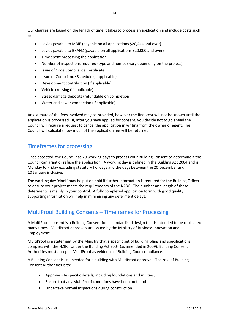Our charges are based on the length of time it takes to process an application and include costs such as:

- Levies payable to MBIE (payable on all applications \$20,444 and over)
- Levies payable to BRANZ (payable on all applications \$20,000 and over)
- Time spent processing the application
- Number of inspections required (type and number vary depending on the project)
- Issue of Code Compliance Certificate
- Issue of Compliance Schedule (if applicable)
- Development contribution (if applicable)
- Vehicle crossing (if applicable)
- Street damage deposits (refundable on completion)
- Water and sewer connection (if applicable)

An estimate of the fees involved may be provided, however the final cost will not be known until the application is processed. If, after you have applied for consent, you decide not to go ahead the Council will require a request to cancel the application in writing from the owner or agent. The Council will calculate how much of the application fee will be returned.

# Timeframes for processing

Once accepted, the Council has 20 working days to process your Building Consent to determine if the Council can grant or refuse the application. A working day is defined in the Building Act 2004 and is Monday to Friday excluding statutory holidays and the days between the 20 December and 10 January inclusive.

The working day 'clock' may be put on hold if further information is required for the Building Officer to ensure your project meets the requirements of the NZBC. The number and length of these deferments is mainly in your control. A fully completed application form with good quality supporting information will help in minimising any deferment delays.

## MultiProof Building Consents – Timeframes for Processing

A MultiProof consent is a Building Consent for a standardised design that is intended to be replicated many times. MultiProof approvals are issued by the Ministry of Business Innovation and Employment.

MultiProof is a statement by the Ministry that a specific set of building plans and specifications complies with the NZBC. Under the Building Act 2004 (as amended in 2009), Building Consent Authorities must accept a MultiProof as evidence of Building Code compliance.

A Building Consent is still needed for a building with MultiProof approval. The role of Building Consent Authorities is to:

- Approve site specific details, including foundations and utilities;
- Ensure that any MultiProof conditions have been met; and
- Undertake normal inspections during construction.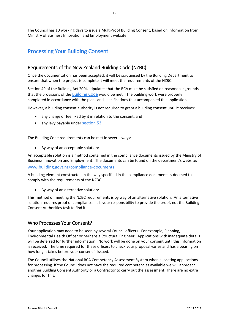# Processing Your Building Consent

### Requirements of the New Zealand Building Code (NZBC)

Once the documentation has been accepted, it will be scrutinised by the Building Department to ensure that when the project is complete it will meet the requirements of the NZBC.

Section 49 of the Building Act 2004 stipulates that the BCA must be satisfied on reasonable grounds that the provisions of the [Building Code](http://www.legislation.govt.nz/act/public/2004/0072/latest/link.aspx?id=DLM162576#DLM162576) would be met if the building work were properly completed in accordance with the plans and specifications that accompanied the application.

However, a building consent authority is not required to grant a building consent until it receives:

- any charge or fee fixed by it in relation to the consent; and
- any levy payable under [section 53.](http://www.legislation.govt.nz/act/public/2004/0072/latest/whole.html#DLM306390)

The Building Code requirements can be met in several ways:

By way of an acceptable solution:

An acceptable solution is a method contained in the compliance documents issued by the Ministry of Business Innovation and Employment. The documents can be found on the department's website:

#### [www.building.govt.nz/compliance-documents](http://www.building.govt.nz/compliance-documents)

A building element constructed in the way specified in the compliance documents is deemed to comply with the requirements of the NZBC.

By way of an alternative solution:

This method of meeting the NZBC requirements is by way of an alternative solution. An alternative solution requires proof of compliance. It is your responsibility to provide the proof, not the Building Consent Authorities task to find it.

#### Who Processes Your Consent?

Your application may need to be seen by several Council officers. For example, Planning, Environmental Health Officer or perhaps a Structural Engineer. Applications with inadequate details will be deferred for further information. No work will be done on your consent until this information is received. The time required for these officers to check your proposal varies and has a bearing on how long it takes before your consent is issued.

The Council utilises the National BCA Competency Assessment System when allocating applications for processing. If the Council does not have the required competencies available we will approach another Building Consent Authority or a Contractor to carry out the assessment. There are no extra charges for this.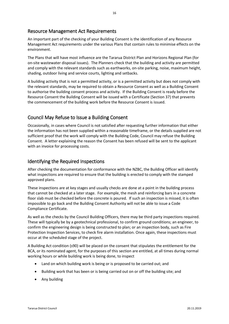#### Resource Management Act Requirements

An important part of the checking of your Building Consent is the identification of any Resource Management Act requirements under the various Plans that contain rules to minimise effects on the environment.

The Plans that will have most influence are the Tararua District Plan and Horizons Regional Plan (for on-site wastewater disposal issues). The Planners check that the building and activity are permitted and comply with the relevant standards such as earthworks, on-site parking, noise, maximum height, shading, outdoor living and service courts, lighting and setbacks.

A building activity that is not a permitted activity, or is a permitted activity but does not comply with the relevant standards, may be required to obtain a Resource Consent as well as a Building Consent to authorise the building consent process and activity. If the Building Consent is ready before the Resource Consent the Building Consent will be issued with a Certificate (Section 37) that prevents the commencement of the building work before the Resource Consent is issued.

#### Council May Refuse to Issue a Building Consent

Occasionally, in cases where Council is not satisfied after requesting further information that either the information has not been supplied within a reasonable timeframe, or the details supplied are not sufficient proof that the work will comply with the Building Code, Council may refuse the Building Consent. A letter explaining the reason the Consent has been refused will be sent to the applicant with an invoice for processing costs.

#### Identifying the Required Inspections

After checking the documentation for conformance with the NZBC, the Building Officer will identify what inspections are required to ensure that the building is erected to comply with the stamped approved plans.

These inspections are at key stages and usually checks are done at a point in the building process that cannot be checked at a later stage. For example, the mesh and reinforcing bars in a concrete floor slab must be checked before the concrete is poured. If such an inspection is missed, it is often impossible to go back and the Building Consent Authority will not be able to issue a Code Compliance Certificate.

As well as the checks by the Council Building Officers, there may be third party inspections required. These will typically be by a geotechnical professional, to confirm ground conditions; an engineer, to confirm the engineering design is being constructed to plan; or an inspection body, such as Fire Protection Inspection Services, to check fire alarm installation. Once again, these inspections must occur at the scheduled stage of the project.

A Building Act condition (s90) will be placed on the consent that stipulates the entitlement for the BCA, or its nominated agent, for the purposes of this section are entitled, at all times during normal working hours or while building work is being done, to inspect

- Land on which building work is being or is proposed to be carried out; and
- Building work that has been or is being carried out on or off the building site; and
- Any building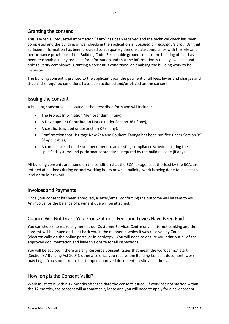#### Granting the consent

This is when all requested information (if any) has been received and the technical check has been completed and the building officer checking the application is *"satisfied on reasonable grounds"* that sufficient information has been provided to adequately demonstrate compliance with the relevant performance provisions of the Building Code. Reasonable grounds means the building officer has been reasonable in any requests for information and that the information is readily available and able to verify compliance. Granting a consent is conditional on enabling the building work to be inspected.

The building consent is granted to the applicant upon the payment of all fees, levies and charges and that all the required conditions have been actioned and/or placed on the consent.

#### Issuing the consent

A building consent will be issued in the prescribed form and will include:

- The Project Information Memorandum (if any),
- A Development Contribution Notice under Section 36 (if any),
- A certificate issued under Section 37 (if any),
- Confirmation that Heritage New Zealand Pouhere Taonga has been notified under Section 39 (if applicable),
- A compliance schedule or amendment to an existing compliance schedule stating the specified systems and performance standards required by the building code (if any).

All building consents are issued on the condition that the BCA, or agents authorised by the BCA, are entitled at all times during normal working hours or while building work is being done to inspect the land or building work.

#### Invoices and Payments

Once your consent has been approved, a letter/email confirming the outcome will be sent to you. An invoice for the balance of payment due will be attached.

#### Council Will Not Grant Your Consent until Fees and Levies Have Been Paid

You can choose to make payment at our Customer Services Centre or via Internet banking and the consent will be issued and sent back you in the manner in which it was received by Council (electronically via the online portal or in hardcopy). You will need to ensure you print out all of the approved documentation and have this onsite for all inspections.

You will be advised if there are any Resource Consent issues that mean the work cannot start (Section 37 Building Act 2004), otherwise once you receive the Building Consent document, work may begin. You should keep the stamped approved document on-site at all times.

#### How long is the Consent Valid?

Work must start within 12 months after the date the consent issued. If work has not started within the 12 months, the consent will automatically lapse and you will need to apply for a new consent.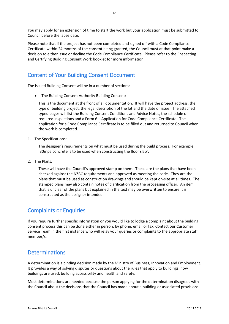You may apply for an extension of time to start the work but your application must be submitted to Council before the lapse date.

Please note that if the project has not been completed and signed off with a Code Compliance Certificate within 24 months of the consent being granted, the Council must at that point make a decision to either issue or decline the Code Compliance Certificate. Please refer to the 'Inspecting and Certifying Building Consent Work booklet for more information.

# Content of Your Building Consent Document

The issued Building Consent will be in a number of sections:

• The Building Consent Authority Building Consent:

This is the document at the front of all documentation. It will have the project address, the type of building project, the legal description of the lot and the date of issue. The attached typed pages will list the Building Consent Conditions and Advice Notes, the schedule of required inspections and a Form 6 – Application for Code Compliance Certificate. The application for a Code Compliance Certificate is to be filled out and returned to Council when the work is completed.

1. The Specifications:

The designer's requirements on what must be used during the build process. For example, '30mpa concrete is to be used when constructing the floor slab'.

2. The Plans:

These will have the Council's approved stamp on them. These are the plans that have been checked against the NZBC requirements and approved as meeting the code. They are the plans that must be used as construction drawings and should be kept on-site at all times. The stamped plans may also contain notes of clarification from the processing officer. An item that is unclear of the plans but explained in the text may be overwritten to ensure it is constructed as the designer intended.

## Complaints or Enquiries

If you require further specific information or you would like to lodge a complaint about the building consent process this can be done either in person, by phone, email or fax. Contact our Customer Service Team in the first instance who will relay your queries or complaints to the appropriate staff member/s.

#### **Determinations**

A determination is a binding decision made by the Ministry of Business, Innovation and Employment. It provides a way of solving disputes or questions about the rules that apply to buildings, how buildings are used, building accessibility and health and safety.

Most determinations are needed because the person applying for the determination disagrees with the Council about the decisions that the Council has made about a building or associated provisions.